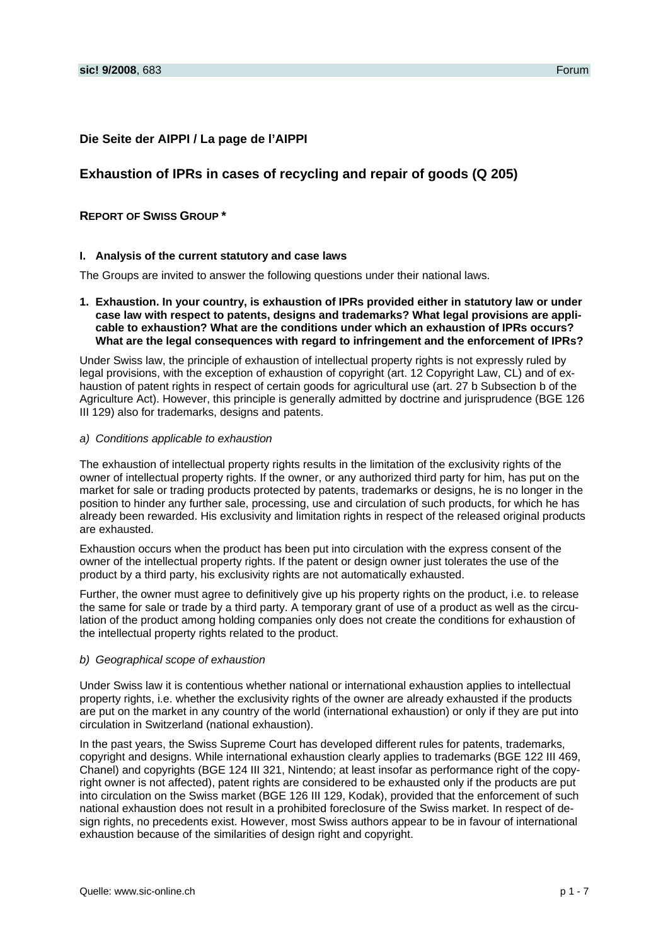## **Die Seite der AIPPI / La page de l'AIPPI**

# **Exhaustion of IPRs in cases of recycling and repair of goods (Q 205)**

## **REPORT OF SWISS GROUP \***

### **I. Analysis of the current statutory and case laws**

The Groups are invited to answer the following questions under their national laws.

**1. Exhaustion. In your country, is exhaustion of IPRs provided either in statutory law or under case law with respect to patents, designs and trademarks? What legal provisions are applicable to exhaustion? What are the conditions under which an exhaustion of IPRs occurs? What are the legal consequences with regard to infringement and the enforcement of IPRs?** 

Under Swiss law, the principle of exhaustion of intellectual property rights is not expressly ruled by legal provisions, with the exception of exhaustion of copyright (art. 12 Copyright Law, CL) and of exhaustion of patent rights in respect of certain goods for agricultural use (art. 27 b Subsection b of the Agriculture Act). However, this principle is generally admitted by doctrine and jurisprudence (BGE 126 III 129) also for trademarks, designs and patents.

#### *a) Conditions applicable to exhaustion*

The exhaustion of intellectual property rights results in the limitation of the exclusivity rights of the owner of intellectual property rights. If the owner, or any authorized third party for him, has put on the market for sale or trading products protected by patents, trademarks or designs, he is no longer in the position to hinder any further sale, processing, use and circulation of such products, for which he has already been rewarded. His exclusivity and limitation rights in respect of the released original products are exhausted.

Exhaustion occurs when the product has been put into circulation with the express consent of the owner of the intellectual property rights. If the patent or design owner just tolerates the use of the product by a third party, his exclusivity rights are not automatically exhausted.

Further, the owner must agree to definitively give up his property rights on the product, i.e. to release the same for sale or trade by a third party. A temporary grant of use of a product as well as the circulation of the product among holding companies only does not create the conditions for exhaustion of the intellectual property rights related to the product.

## *b) Geographical scope of exhaustion*

Under Swiss law it is contentious whether national or international exhaustion applies to intellectual property rights, i.e. whether the exclusivity rights of the owner are already exhausted if the products are put on the market in any country of the world (international exhaustion) or only if they are put into circulation in Switzerland (national exhaustion).

In the past years, the Swiss Supreme Court has developed different rules for patents, trademarks, copyright and designs. While international exhaustion clearly applies to trademarks (BGE 122 III 469, Chanel) and copyrights (BGE 124 III 321, Nintendo; at least insofar as performance right of the copyright owner is not affected), patent rights are considered to be exhausted only if the products are put into circulation on the Swiss market (BGE 126 III 129, Kodak), provided that the enforcement of such national exhaustion does not result in a prohibited foreclosure of the Swiss market. In respect of design rights, no precedents exist. However, most Swiss authors appear to be in favour of international exhaustion because of the similarities of design right and copyright.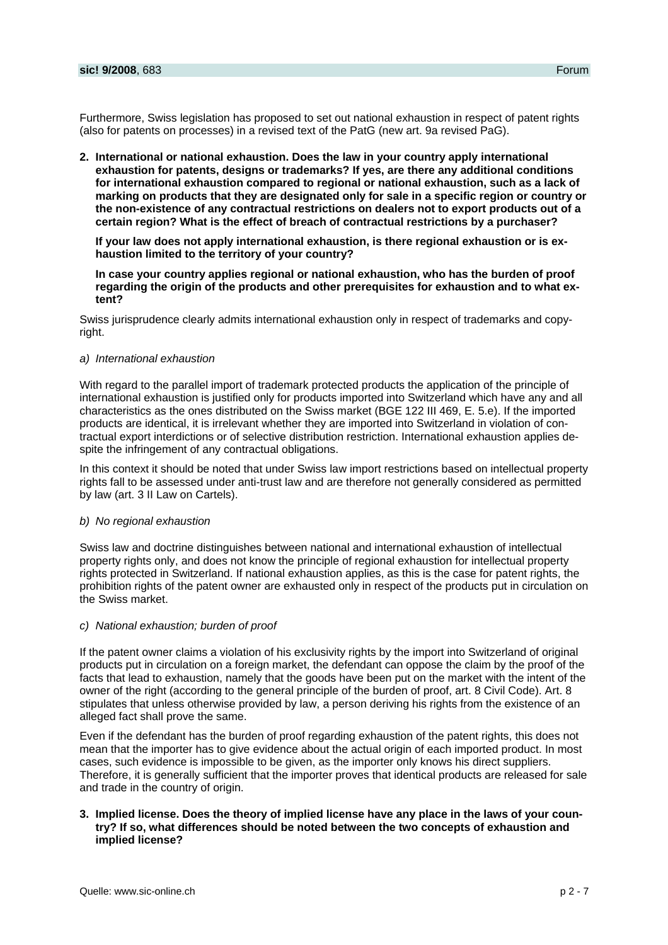Furthermore, Swiss legislation has proposed to set out national exhaustion in respect of patent rights (also for patents on processes) in a revised text of the PatG (new art. 9a revised PaG).

**2. International or national exhaustion. Does the law in your country apply international exhaustion for patents, designs or trademarks? If yes, are there any additional conditions for international exhaustion compared to regional or national exhaustion, such as a lack of marking on products that they are designated only for sale in a specific region or country or the non-existence of any contractual restrictions on dealers not to export products out of a certain region? What is the effect of breach of contractual restrictions by a purchaser?** 

**If your law does not apply international exhaustion, is there regional exhaustion or is exhaustion limited to the territory of your country?** 

**In case your country applies regional or national exhaustion, who has the burden of proof regarding the origin of the products and other prerequisites for exhaustion and to what extent?** 

Swiss jurisprudence clearly admits international exhaustion only in respect of trademarks and copyright.

#### *a) International exhaustion*

With regard to the parallel import of trademark protected products the application of the principle of international exhaustion is justified only for products imported into Switzerland which have any and all characteristics as the ones distributed on the Swiss market (BGE 122 III 469, E. 5.e). If the imported products are identical, it is irrelevant whether they are imported into Switzerland in violation of contractual export interdictions or of selective distribution restriction. International exhaustion applies despite the infringement of any contractual obligations.

In this context it should be noted that under Swiss law import restrictions based on intellectual property rights fall to be assessed under anti-trust law and are therefore not generally considered as permitted by law (art. 3 II Law on Cartels).

#### *b) No regional exhaustion*

Swiss law and doctrine distinguishes between national and international exhaustion of intellectual property rights only, and does not know the principle of regional exhaustion for intellectual property rights protected in Switzerland. If national exhaustion applies, as this is the case for patent rights, the prohibition rights of the patent owner are exhausted only in respect of the products put in circulation on the Swiss market.

## *c) National exhaustion; burden of proof*

If the patent owner claims a violation of his exclusivity rights by the import into Switzerland of original products put in circulation on a foreign market, the defendant can oppose the claim by the proof of the facts that lead to exhaustion, namely that the goods have been put on the market with the intent of the owner of the right (according to the general principle of the burden of proof, art. 8 Civil Code). Art. 8 stipulates that unless otherwise provided by law, a person deriving his rights from the existence of an alleged fact shall prove the same.

Even if the defendant has the burden of proof regarding exhaustion of the patent rights, this does not mean that the importer has to give evidence about the actual origin of each imported product. In most cases, such evidence is impossible to be given, as the importer only knows his direct suppliers. Therefore, it is generally sufficient that the importer proves that identical products are released for sale and trade in the country of origin.

## **3. Implied license. Does the theory of implied license have any place in the laws of your country? If so, what differences should be noted between the two concepts of exhaustion and implied license?**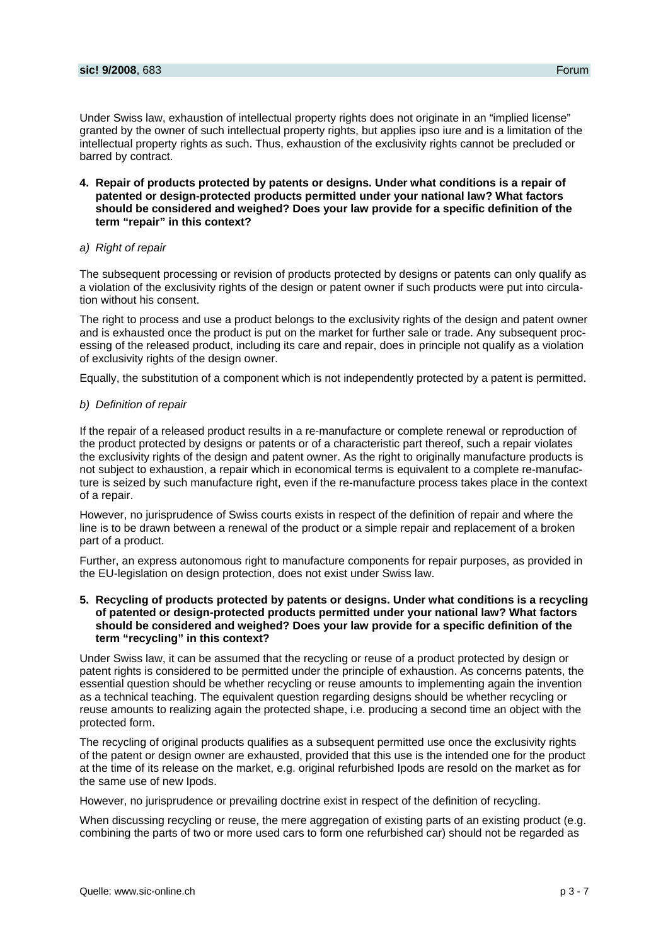Under Swiss law, exhaustion of intellectual property rights does not originate in an "implied license" granted by the owner of such intellectual property rights, but applies ipso iure and is a limitation of the intellectual property rights as such. Thus, exhaustion of the exclusivity rights cannot be precluded or barred by contract.

**4. Repair of products protected by patents or designs. Under what conditions is a repair of patented or design-protected products permitted under your national law? What factors should be considered and weighed? Does your law provide for a specific definition of the term "repair" in this context?** 

## *a) Right of repair*

The subsequent processing or revision of products protected by designs or patents can only qualify as a violation of the exclusivity rights of the design or patent owner if such products were put into circulation without his consent.

The right to process and use a product belongs to the exclusivity rights of the design and patent owner and is exhausted once the product is put on the market for further sale or trade. Any subsequent processing of the released product, including its care and repair, does in principle not qualify as a violation of exclusivity rights of the design owner.

Equally, the substitution of a component which is not independently protected by a patent is permitted.

### *b) Definition of repair*

If the repair of a released product results in a re-manufacture or complete renewal or reproduction of the product protected by designs or patents or of a characteristic part thereof, such a repair violates the exclusivity rights of the design and patent owner. As the right to originally manufacture products is not subject to exhaustion, a repair which in economical terms is equivalent to a complete re-manufacture is seized by such manufacture right, even if the re-manufacture process takes place in the context of a repair.

However, no jurisprudence of Swiss courts exists in respect of the definition of repair and where the line is to be drawn between a renewal of the product or a simple repair and replacement of a broken part of a product.

Further, an express autonomous right to manufacture components for repair purposes, as provided in the EU-legislation on design protection, does not exist under Swiss law.

**5. Recycling of products protected by patents or designs. Under what conditions is a recycling of patented or design-protected products permitted under your national law? What factors should be considered and weighed? Does your law provide for a specific definition of the term "recycling" in this context?** 

Under Swiss law, it can be assumed that the recycling or reuse of a product protected by design or patent rights is considered to be permitted under the principle of exhaustion. As concerns patents, the essential question should be whether recycling or reuse amounts to implementing again the invention as a technical teaching. The equivalent question regarding designs should be whether recycling or reuse amounts to realizing again the protected shape, i.e. producing a second time an object with the protected form.

The recycling of original products qualifies as a subsequent permitted use once the exclusivity rights of the patent or design owner are exhausted, provided that this use is the intended one for the product at the time of its release on the market, e.g. original refurbished Ipods are resold on the market as for the same use of new Ipods.

However, no jurisprudence or prevailing doctrine exist in respect of the definition of recycling.

When discussing recycling or reuse, the mere aggregation of existing parts of an existing product (e.g. combining the parts of two or more used cars to form one refurbished car) should not be regarded as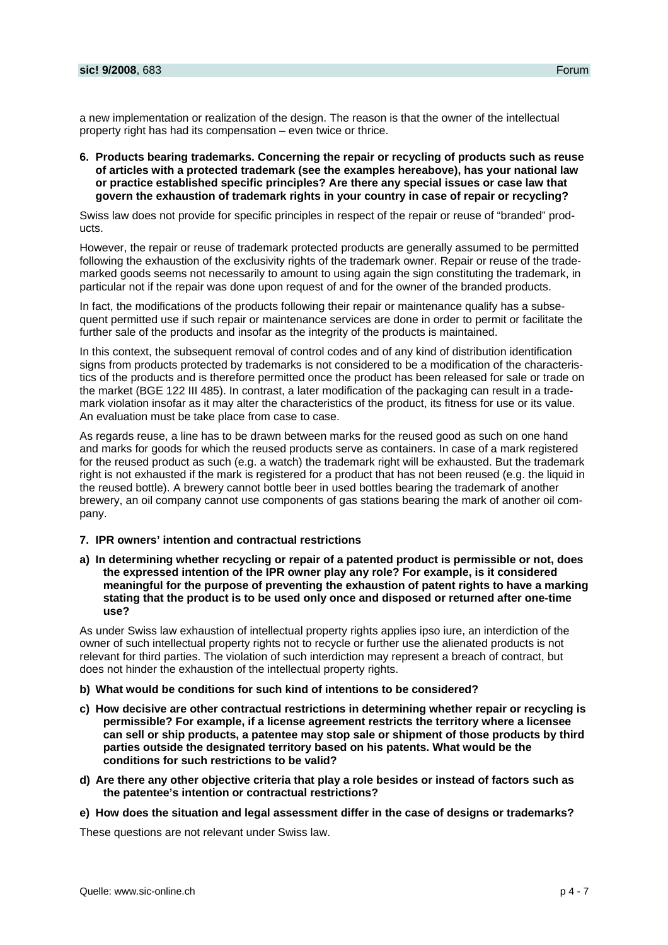a new implementation or realization of the design. The reason is that the owner of the intellectual property right has had its compensation – even twice or thrice.

**6. Products bearing trademarks. Concerning the repair or recycling of products such as reuse of articles with a protected trademark (see the examples hereabove), has your national law or practice established specific principles? Are there any special issues or case law that govern the exhaustion of trademark rights in your country in case of repair or recycling?** 

Swiss law does not provide for specific principles in respect of the repair or reuse of "branded" products.

However, the repair or reuse of trademark protected products are generally assumed to be permitted following the exhaustion of the exclusivity rights of the trademark owner. Repair or reuse of the trademarked goods seems not necessarily to amount to using again the sign constituting the trademark, in particular not if the repair was done upon request of and for the owner of the branded products.

In fact, the modifications of the products following their repair or maintenance qualify has a subsequent permitted use if such repair or maintenance services are done in order to permit or facilitate the further sale of the products and insofar as the integrity of the products is maintained.

In this context, the subsequent removal of control codes and of any kind of distribution identification signs from products protected by trademarks is not considered to be a modification of the characteristics of the products and is therefore permitted once the product has been released for sale or trade on the market (BGE 122 III 485). In contrast, a later modification of the packaging can result in a trademark violation insofar as it may alter the characteristics of the product, its fitness for use or its value. An evaluation must be take place from case to case.

As regards reuse, a line has to be drawn between marks for the reused good as such on one hand and marks for goods for which the reused products serve as containers. In case of a mark registered for the reused product as such (e.g. a watch) the trademark right will be exhausted. But the trademark right is not exhausted if the mark is registered for a product that has not been reused (e.g. the liquid in the reused bottle). A brewery cannot bottle beer in used bottles bearing the trademark of another brewery, an oil company cannot use components of gas stations bearing the mark of another oil company.

## **7. IPR owners' intention and contractual restrictions**

**a) In determining whether recycling or repair of a patented product is permissible or not, does the expressed intention of the IPR owner play any role? For example, is it considered meaningful for the purpose of preventing the exhaustion of patent rights to have a marking stating that the product is to be used only once and disposed or returned after one-time use?** 

As under Swiss law exhaustion of intellectual property rights applies ipso iure, an interdiction of the owner of such intellectual property rights not to recycle or further use the alienated products is not relevant for third parties. The violation of such interdiction may represent a breach of contract, but does not hinder the exhaustion of the intellectual property rights.

- **b) What would be conditions for such kind of intentions to be considered?**
- **c) How decisive are other contractual restrictions in determining whether repair or recycling is permissible? For example, if a license agreement restricts the territory where a licensee can sell or ship products, a patentee may stop sale or shipment of those products by third parties outside the designated territory based on his patents. What would be the conditions for such restrictions to be valid?**
- **d) Are there any other objective criteria that play a role besides or instead of factors such as the patentee's intention or contractual restrictions?**
- **e) How does the situation and legal assessment differ in the case of designs or trademarks?**

These questions are not relevant under Swiss law.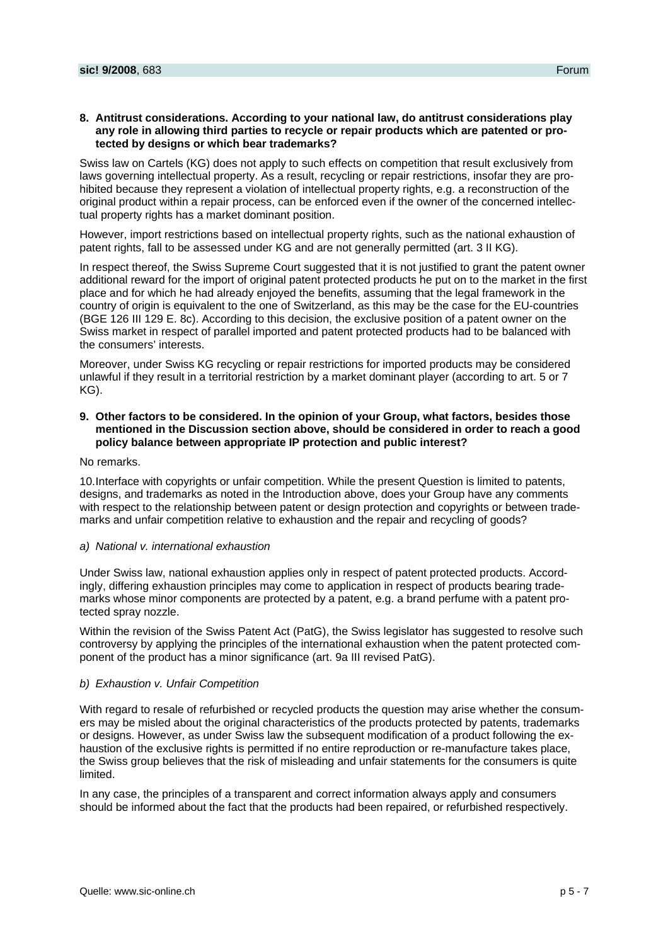Swiss law on Cartels (KG) does not apply to such effects on competition that result exclusively from laws governing intellectual property. As a result, recycling or repair restrictions, insofar they are prohibited because they represent a violation of intellectual property rights, e.g. a reconstruction of the original product within a repair process, can be enforced even if the owner of the concerned intellectual property rights has a market dominant position.

However, import restrictions based on intellectual property rights, such as the national exhaustion of patent rights, fall to be assessed under KG and are not generally permitted (art. 3 II KG).

In respect thereof, the Swiss Supreme Court suggested that it is not justified to grant the patent owner additional reward for the import of original patent protected products he put on to the market in the first place and for which he had already enjoyed the benefits, assuming that the legal framework in the country of origin is equivalent to the one of Switzerland, as this may be the case for the EU-countries (BGE 126 III 129 E. 8c). According to this decision, the exclusive position of a patent owner on the Swiss market in respect of parallel imported and patent protected products had to be balanced with the consumers' interests.

Moreover, under Swiss KG recycling or repair restrictions for imported products may be considered unlawful if they result in a territorial restriction by a market dominant player (according to art. 5 or 7 KG).

## **9. Other factors to be considered. In the opinion of your Group, what factors, besides those mentioned in the Discussion section above, should be considered in order to reach a good policy balance between appropriate IP protection and public interest?**

No remarks.

10. Interface with copyrights or unfair competition. While the present Question is limited to patents, designs, and trademarks as noted in the Introduction above, does your Group have any comments with respect to the relationship between patent or design protection and copyrights or between trademarks and unfair competition relative to exhaustion and the repair and recycling of goods?

## *a) National v. international exhaustion*

Under Swiss law, national exhaustion applies only in respect of patent protected products. Accordingly, differing exhaustion principles may come to application in respect of products bearing trademarks whose minor components are protected by a patent, e.g. a brand perfume with a patent protected spray nozzle.

Within the revision of the Swiss Patent Act (PatG), the Swiss legislator has suggested to resolve such controversy by applying the principles of the international exhaustion when the patent protected component of the product has a minor significance (art. 9a III revised PatG).

## *b) Exhaustion v. Unfair Competition*

With regard to resale of refurbished or recycled products the question may arise whether the consumers may be misled about the original characteristics of the products protected by patents, trademarks or designs. However, as under Swiss law the subsequent modification of a product following the exhaustion of the exclusive rights is permitted if no entire reproduction or re-manufacture takes place, the Swiss group believes that the risk of misleading and unfair statements for the consumers is quite limited.

In any case, the principles of a transparent and correct information always apply and consumers should be informed about the fact that the products had been repaired, or refurbished respectively.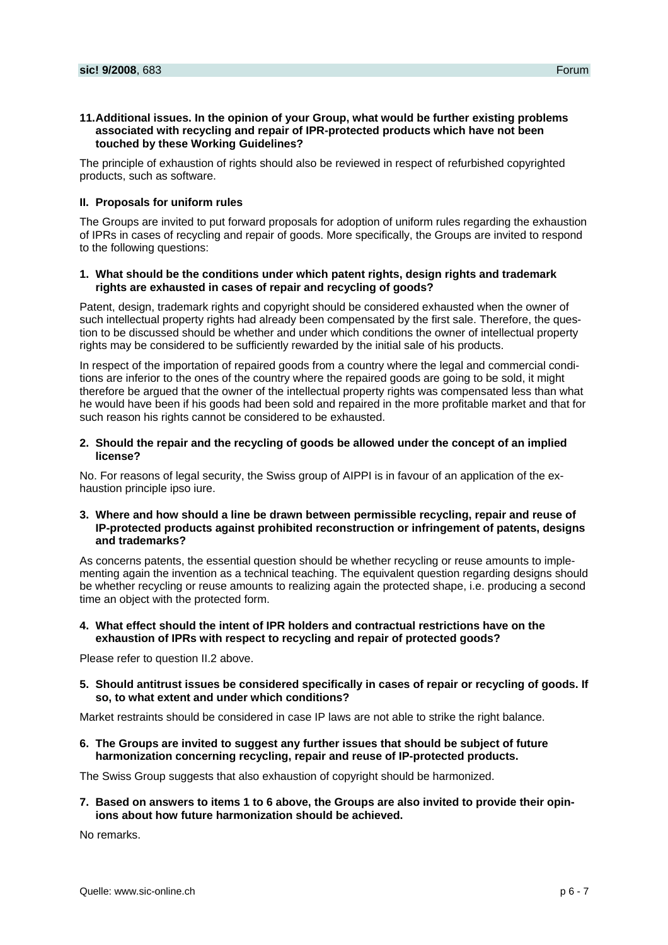## **11. Additional issues. In the opinion of your Group, what would be further existing problems associated with recycling and repair of IPR-protected products which have not been touched by these Working Guidelines?**

The principle of exhaustion of rights should also be reviewed in respect of refurbished copyrighted products, such as software.

## **II. Proposals for uniform rules**

The Groups are invited to put forward proposals for adoption of uniform rules regarding the exhaustion of IPRs in cases of recycling and repair of goods. More specifically, the Groups are invited to respond to the following questions:

## **1. What should be the conditions under which patent rights, design rights and trademark rights are exhausted in cases of repair and recycling of goods?**

Patent, design, trademark rights and copyright should be considered exhausted when the owner of such intellectual property rights had already been compensated by the first sale. Therefore, the question to be discussed should be whether and under which conditions the owner of intellectual property rights may be considered to be sufficiently rewarded by the initial sale of his products.

In respect of the importation of repaired goods from a country where the legal and commercial conditions are inferior to the ones of the country where the repaired goods are going to be sold, it might therefore be argued that the owner of the intellectual property rights was compensated less than what he would have been if his goods had been sold and repaired in the more profitable market and that for such reason his rights cannot be considered to be exhausted.

## **2. Should the repair and the recycling of goods be allowed under the concept of an implied license?**

No. For reasons of legal security, the Swiss group of AIPPI is in favour of an application of the exhaustion principle ipso iure.

## **3. Where and how should a line be drawn between permissible recycling, repair and reuse of IP-protected products against prohibited reconstruction or infringement of patents, designs and trademarks?**

As concerns patents, the essential question should be whether recycling or reuse amounts to implementing again the invention as a technical teaching. The equivalent question regarding designs should be whether recycling or reuse amounts to realizing again the protected shape, i.e. producing a second time an object with the protected form.

## **4. What effect should the intent of IPR holders and contractual restrictions have on the exhaustion of IPRs with respect to recycling and repair of protected goods?**

Please refer to question II.2 above.

**5. Should antitrust issues be considered specifically in cases of repair or recycling of goods. If so, to what extent and under which conditions?** 

Market restraints should be considered in case IP laws are not able to strike the right balance.

**6. The Groups are invited to suggest any further issues that should be subject of future harmonization concerning recycling, repair and reuse of IP-protected products.** 

The Swiss Group suggests that also exhaustion of copyright should be harmonized.

**7. Based on answers to items 1 to 6 above, the Groups are also invited to provide their opinions about how future harmonization should be achieved.** 

No remarks.